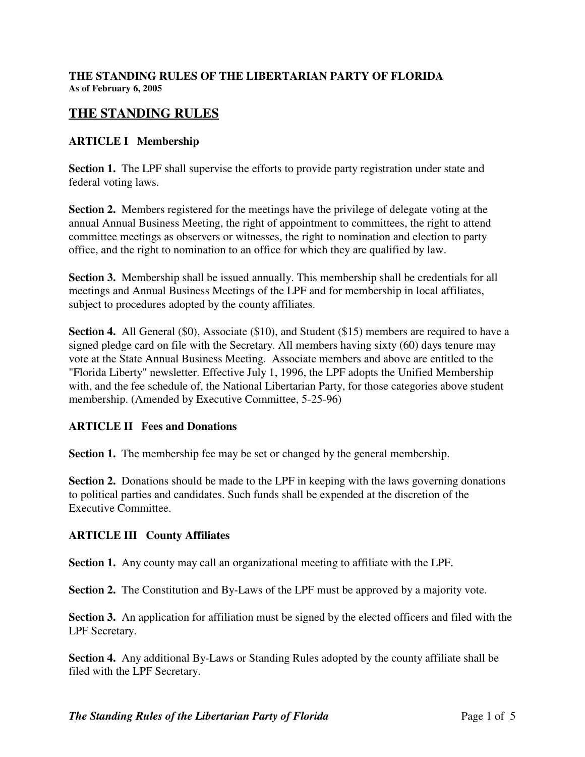# **THE STANDING RULES**

#### **ARTICLE I Membership**

**Section 1.** The LPF shall supervise the efforts to provide party registration under state and federal voting laws.

**Section 2.** Members registered for the meetings have the privilege of delegate voting at the annual Annual Business Meeting, the right of appointment to committees, the right to attend committee meetings as observers or witnesses, the right to nomination and election to party office, and the right to nomination to an office for which they are qualified by law.

**Section 3.** Membership shall be issued annually. This membership shall be credentials for all meetings and Annual Business Meetings of the LPF and for membership in local affiliates, subject to procedures adopted by the county affiliates.

**Section 4.** All General (\$0), Associate (\$10), and Student (\$15) members are required to have a signed pledge card on file with the Secretary. All members having sixty (60) days tenure may vote at the State Annual Business Meeting. Associate members and above are entitled to the "Florida Liberty" newsletter. Effective July 1, 1996, the LPF adopts the Unified Membership with, and the fee schedule of, the National Libertarian Party, for those categories above student membership. (Amended by Executive Committee, 5-25-96)

#### **ARTICLE II Fees and Donations**

**Section 1.** The membership fee may be set or changed by the general membership.

**Section 2.** Donations should be made to the LPF in keeping with the laws governing donations to political parties and candidates. Such funds shall be expended at the discretion of the Executive Committee.

#### **ARTICLE III County Affiliates**

**Section 1.** Any county may call an organizational meeting to affiliate with the LPF.

**Section 2.** The Constitution and By-Laws of the LPF must be approved by a majority vote.

**Section 3.** An application for affiliation must be signed by the elected officers and filed with the LPF Secretary.

**Section 4.** Any additional By-Laws or Standing Rules adopted by the county affiliate shall be filed with the LPF Secretary.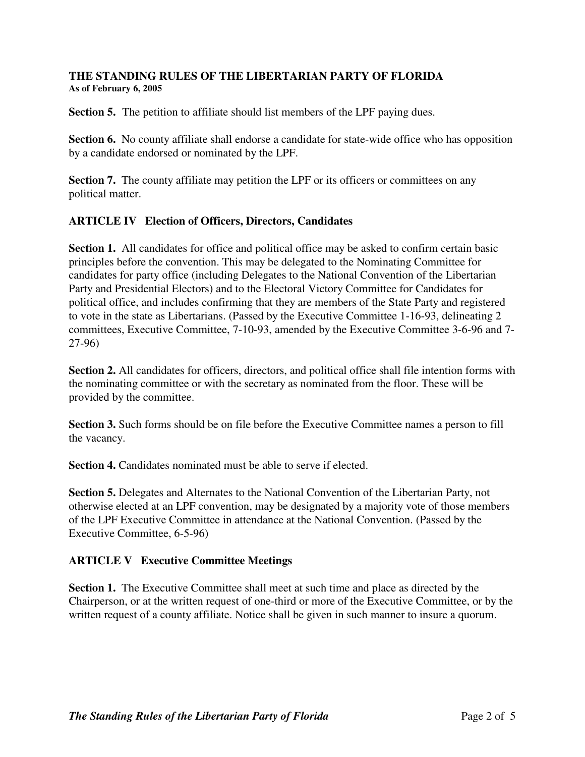**Section 5.** The petition to affiliate should list members of the LPF paying dues.

**Section 6.** No county affiliate shall endorse a candidate for state-wide office who has opposition by a candidate endorsed or nominated by the LPF.

**Section 7.** The county affiliate may petition the LPF or its officers or committees on any political matter.

## **ARTICLE IV Election of Officers, Directors, Candidates**

**Section 1.** All candidates for office and political office may be asked to confirm certain basic principles before the convention. This may be delegated to the Nominating Committee for candidates for party office (including Delegates to the National Convention of the Libertarian Party and Presidential Electors) and to the Electoral Victory Committee for Candidates for political office, and includes confirming that they are members of the State Party and registered to vote in the state as Libertarians. (Passed by the Executive Committee 1-16-93, delineating 2 committees, Executive Committee, 7-10-93, amended by the Executive Committee 3-6-96 and 7- 27-96)

**Section 2.** All candidates for officers, directors, and political office shall file intention forms with the nominating committee or with the secretary as nominated from the floor. These will be provided by the committee.

**Section 3.** Such forms should be on file before the Executive Committee names a person to fill the vacancy.

**Section 4.** Candidates nominated must be able to serve if elected.

**Section 5.** Delegates and Alternates to the National Convention of the Libertarian Party, not otherwise elected at an LPF convention, may be designated by a majority vote of those members of the LPF Executive Committee in attendance at the National Convention. (Passed by the Executive Committee, 6-5-96)

## **ARTICLE V Executive Committee Meetings**

**Section 1.** The Executive Committee shall meet at such time and place as directed by the Chairperson, or at the written request of one-third or more of the Executive Committee, or by the written request of a county affiliate. Notice shall be given in such manner to insure a quorum.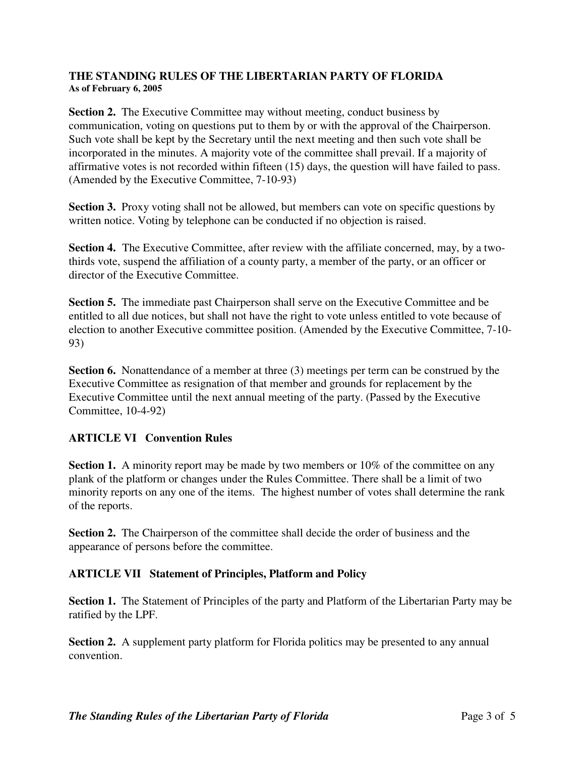**Section 2.** The Executive Committee may without meeting, conduct business by communication, voting on questions put to them by or with the approval of the Chairperson. Such vote shall be kept by the Secretary until the next meeting and then such vote shall be incorporated in the minutes. A majority vote of the committee shall prevail. If a majority of affirmative votes is not recorded within fifteen (15) days, the question will have failed to pass. (Amended by the Executive Committee, 7-10-93)

**Section 3.** Proxy voting shall not be allowed, but members can vote on specific questions by written notice. Voting by telephone can be conducted if no objection is raised.

**Section 4.** The Executive Committee, after review with the affiliate concerned, may, by a twothirds vote, suspend the affiliation of a county party, a member of the party, or an officer or director of the Executive Committee.

**Section 5.** The immediate past Chairperson shall serve on the Executive Committee and be entitled to all due notices, but shall not have the right to vote unless entitled to vote because of election to another Executive committee position. (Amended by the Executive Committee, 7-10- 93)

**Section 6.** Nonattendance of a member at three (3) meetings per term can be construed by the Executive Committee as resignation of that member and grounds for replacement by the Executive Committee until the next annual meeting of the party. (Passed by the Executive Committee, 10-4-92)

## **ARTICLE VI Convention Rules**

**Section 1.** A minority report may be made by two members or 10% of the committee on any plank of the platform or changes under the Rules Committee. There shall be a limit of two minority reports on any one of the items. The highest number of votes shall determine the rank of the reports.

**Section 2.** The Chairperson of the committee shall decide the order of business and the appearance of persons before the committee.

## **ARTICLE VII Statement of Principles, Platform and Policy**

**Section 1.** The Statement of Principles of the party and Platform of the Libertarian Party may be ratified by the LPF.

**Section 2.** A supplement party platform for Florida politics may be presented to any annual convention.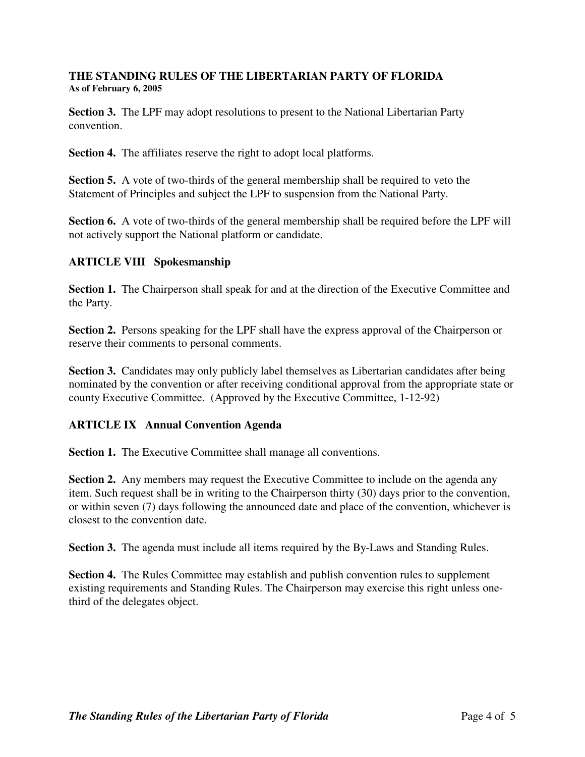**Section 3.** The LPF may adopt resolutions to present to the National Libertarian Party convention.

**Section 4.** The affiliates reserve the right to adopt local platforms.

**Section 5.** A vote of two-thirds of the general membership shall be required to veto the Statement of Principles and subject the LPF to suspension from the National Party.

**Section 6.** A vote of two-thirds of the general membership shall be required before the LPF will not actively support the National platform or candidate.

## **ARTICLE VIII Spokesmanship**

**Section 1.** The Chairperson shall speak for and at the direction of the Executive Committee and the Party.

**Section 2.** Persons speaking for the LPF shall have the express approval of the Chairperson or reserve their comments to personal comments.

**Section 3.** Candidates may only publicly label themselves as Libertarian candidates after being nominated by the convention or after receiving conditional approval from the appropriate state or county Executive Committee. (Approved by the Executive Committee, 1-12-92)

## **ARTICLE IX Annual Convention Agenda**

**Section 1.** The Executive Committee shall manage all conventions.

**Section 2.** Any members may request the Executive Committee to include on the agenda any item. Such request shall be in writing to the Chairperson thirty (30) days prior to the convention, or within seven (7) days following the announced date and place of the convention, whichever is closest to the convention date.

**Section 3.** The agenda must include all items required by the By-Laws and Standing Rules.

**Section 4.** The Rules Committee may establish and publish convention rules to supplement existing requirements and Standing Rules. The Chairperson may exercise this right unless onethird of the delegates object.